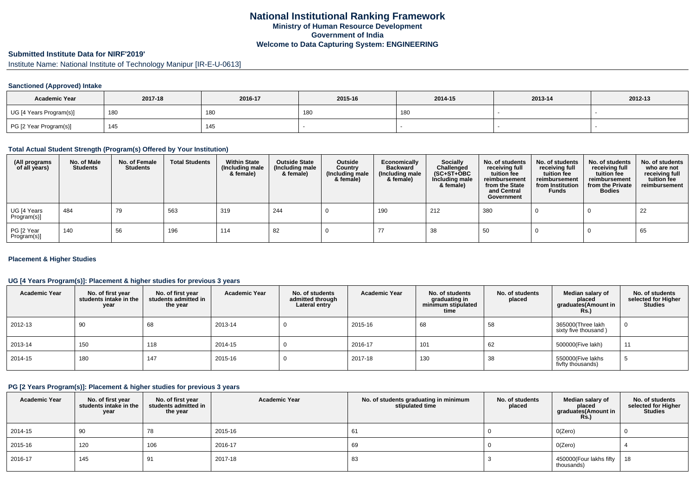# **National Institutional Ranking FrameworkMinistry of Human Resource DevelopmentGovernment of IndiaWelcome to Data Capturing System: ENGINEERING**

# **Submitted Institute Data for NIRF'2019'**

Institute Name: National Institute of Technology Manipur [IR-E-U-0613]

### **Sanctioned (Approved) Intake**

| <b>Academic Year</b>    | 2017-18 | 2016-17 | 2015-16 | 2014-15 | 2013-14 | 2012-13 |
|-------------------------|---------|---------|---------|---------|---------|---------|
| UG [4 Years Program(s)] | 180     | 180     | 180     | 180     |         |         |
| PG [2 Year Program(s)]  | 145     | 145     |         |         |         |         |

#### **Total Actual Student Strength (Program(s) Offered by Your Institution)**

| (All programs<br>of all years) | No. of Male<br><b>Students</b> | No. of Female<br><b>Students</b> | <b>Total Students</b> | <b>Within State</b><br>(Including male<br>& female) | <b>Outside State</b><br>(Including male<br>& female) | Outside<br>Country<br>(Including male<br>& female) | Economically<br><b>Backward</b><br>(Including male<br>& female) | <b>Socially</b><br>Challenged<br>$(SC+ST+OBC)$<br>Including male<br>& female) | No. of students<br>receiving full<br>tuition fee<br>reimbursement<br>from the State<br>and Central<br>Government | No. of students<br>receiving full<br>tuition fee<br>reimbursement<br>from Institution<br><b>Funds</b> | No. of students<br>receiving full<br>tuition fee<br>reimbursement<br>from the Private<br><b>Bodies</b> | No. of students<br>who are not<br>receiving full<br>tuition fee<br>reimbursement |
|--------------------------------|--------------------------------|----------------------------------|-----------------------|-----------------------------------------------------|------------------------------------------------------|----------------------------------------------------|-----------------------------------------------------------------|-------------------------------------------------------------------------------|------------------------------------------------------------------------------------------------------------------|-------------------------------------------------------------------------------------------------------|--------------------------------------------------------------------------------------------------------|----------------------------------------------------------------------------------|
| UG [4 Years<br>Program(s)]     | 484                            | 79                               | 563                   | 319                                                 | 244                                                  |                                                    | 190                                                             | 212                                                                           | 380                                                                                                              |                                                                                                       |                                                                                                        | 22                                                                               |
| PG [2 Year<br>Program(s)]      | 140                            | 56                               | 196                   | 114                                                 | 82                                                   |                                                    |                                                                 | 38                                                                            | 50                                                                                                               |                                                                                                       |                                                                                                        | 65                                                                               |

### **Placement & Higher Studies**

### **UG [4 Years Program(s)]: Placement & higher studies for previous 3 years**

| <b>Academic Year</b> | No. of first year<br>students intake in the<br>year | No. of first vear<br>students admitted in<br>the year | <b>Academic Year</b> | No. of students<br>admitted through<br>Lateral entry | <b>Academic Year</b> | No. of students<br>graduating in<br>minimum stipulated<br>time | No. of students<br>placed | Median salary of<br>placed<br>graduates(Amount in<br>Rs. | No. of students<br>selected for Higher<br><b>Studies</b> |
|----------------------|-----------------------------------------------------|-------------------------------------------------------|----------------------|------------------------------------------------------|----------------------|----------------------------------------------------------------|---------------------------|----------------------------------------------------------|----------------------------------------------------------|
| 2012-13              | 90                                                  | 68                                                    | 2013-14              |                                                      | 2015-16              | 68                                                             | 58                        | 365000(Three lakh<br>sixty five thousand)                | 0                                                        |
| 2013-14              | 150                                                 | 118                                                   | 2014-15              |                                                      | 2016-17              | 101                                                            | 62                        | 500000(Five lakh)                                        | 11                                                       |
| $ 2014 - 15 $        | 180                                                 | 147                                                   | 2015-16              |                                                      | 2017-18              | 130                                                            | 38                        | 550000(Five lakhs<br>fivfty thousands)                   | ు                                                        |

### **PG [2 Years Program(s)]: Placement & higher studies for previous 3 years**

| <b>Academic Year</b> | No. of first year<br>students intake in the<br>year | No. of first year<br>students admitted in<br>the year | <b>Academic Year</b> | No. of students graduating in minimum<br>stipulated time | No. of students<br>placed | Median salary of<br>placed<br>graduates(Amount in<br><b>Rs.)</b> | No. of students<br>selected for Higher<br><b>Studies</b> |
|----------------------|-----------------------------------------------------|-------------------------------------------------------|----------------------|----------------------------------------------------------|---------------------------|------------------------------------------------------------------|----------------------------------------------------------|
| 2014-15              | 90                                                  | 78                                                    | 2015-16              | 61                                                       |                           | O(Zero)                                                          |                                                          |
| 2015-16              | 120                                                 | 106                                                   | 2016-17              | 69                                                       |                           | O(Zero)                                                          |                                                          |
| $ 2016-17$           | 145                                                 | 91                                                    | 2017-18              | 83                                                       |                           | 450000(Four lakhs fifty<br>thousands)                            | 18                                                       |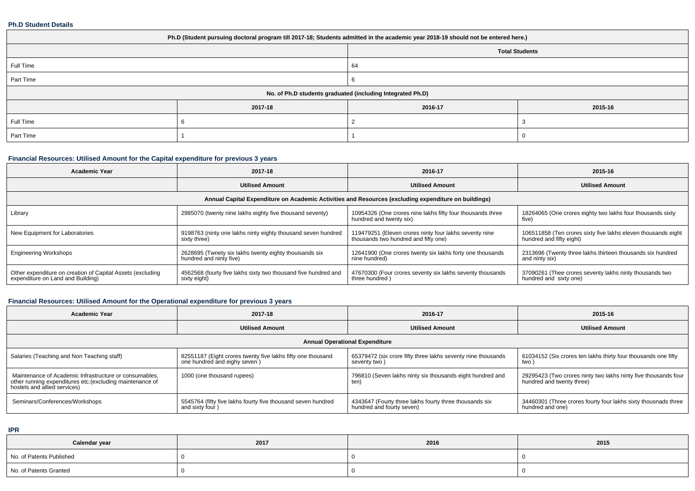### **Ph.D Student Details**

| Ph.D (Student pursuing doctoral program till 2017-18; Students admitted in the academic year 2018-19 should not be entered here.) |         |                       |         |  |  |
|-----------------------------------------------------------------------------------------------------------------------------------|---------|-----------------------|---------|--|--|
|                                                                                                                                   |         | <b>Total Students</b> |         |  |  |
| Full Time                                                                                                                         |         | 64                    |         |  |  |
| Part Time                                                                                                                         |         |                       |         |  |  |
| No. of Ph.D students graduated (including Integrated Ph.D)                                                                        |         |                       |         |  |  |
|                                                                                                                                   | 2017-18 | 2016-17               | 2015-16 |  |  |
| Full Time                                                                                                                         |         |                       |         |  |  |
| Part Time                                                                                                                         |         |                       |         |  |  |

# **Financial Resources: Utilised Amount for the Capital expenditure for previous 3 years**

| <b>Academic Year</b>                                                                                 | 2017-18                                                                           | 2016-17                                                                                        | 2015-16                                                                                   |  |  |  |
|------------------------------------------------------------------------------------------------------|-----------------------------------------------------------------------------------|------------------------------------------------------------------------------------------------|-------------------------------------------------------------------------------------------|--|--|--|
|                                                                                                      | <b>Utilised Amount</b>                                                            | <b>Utilised Amount</b>                                                                         | <b>Utilised Amount</b>                                                                    |  |  |  |
| Annual Capital Expenditure on Academic Activities and Resources (excluding expenditure on buildings) |                                                                                   |                                                                                                |                                                                                           |  |  |  |
| Library                                                                                              | 2985070 (twenty nine lakhs eighty five thousand seventy)                          | 10954326 (One crores nine lakhs fifty four thousands three<br>hundred and twenty six)          | 18264065 (One crores eighty two lakhs four thousands sixty<br>five)                       |  |  |  |
| New Equipment for Laboratories                                                                       | 9198763 (ninty one lakhs ninty eighty thousand seven hundred<br>sixty three)      | 119479251 (Eleven crores ninty four lakhs seventy nine<br>thousands two hundred and fifty one) | 106511858 (Ten crores sixty five lakhs eleven thousands eight<br>hundred and fifty eight) |  |  |  |
| <b>Engineering Workshops</b>                                                                         | 2628695 (Twnety six lakhs twenty eighty thouisands six<br>hundred and ninty five) | 12641900 (One crores twenty six lakhs forty one thousands<br>nine hundred)                     | 2313696 (Twenty three lakhs thirteen thousands six hundred<br>and ninty six)              |  |  |  |
| Other expenditure on creation of Capital Assets (excluding<br>expenditure on Land and Building)      | 4562568 (fourty five lakhs sixty two thousand five hundred and<br>sixty eight)    | 47670300 (Four crores seventy six lakhs seventy thousands<br>three hundred)                    | 37090261 (Thee crores seventy lakhs ninty thousands two<br>hundred and sixty one)         |  |  |  |

# **Financial Resources: Utilised Amount for the Operational expenditure for previous 3 years**

| Academic Year                                                                                                                                       | 2017-18                                                                                      | 2016-17                                                                             | 2015-16                                                                                     |  |  |
|-----------------------------------------------------------------------------------------------------------------------------------------------------|----------------------------------------------------------------------------------------------|-------------------------------------------------------------------------------------|---------------------------------------------------------------------------------------------|--|--|
|                                                                                                                                                     | <b>Utilised Amount</b>                                                                       | <b>Utilised Amount</b>                                                              | <b>Utilised Amount</b>                                                                      |  |  |
| <b>Annual Operational Expenditure</b>                                                                                                               |                                                                                              |                                                                                     |                                                                                             |  |  |
| Salaries (Teaching and Non Teaching staff)                                                                                                          | 82551187 (Eight crores twenty five lakhs fifty one thousand<br>one hundred and eighy seven ) | 65379472 (six crore fifty three lakhs seventy nine thousands<br>seventy two)        | 61034152 (Six crores ten lakhs thirty four thousands one fifty<br>two)                      |  |  |
| Maintenance of Academic Infrastructure or consumables,<br>other running expenditures etc. (excluding maintenance of<br>hostels and allied services) | 1000 (one thousand rupees)                                                                   | 796810 (Seven lakhs ninty six thousands eight hundred and<br>ten)                   | 29295423 (Two crores ninty two lakhs ninty five thousands four<br>hundred and twenty three) |  |  |
| Seminars/Conferences/Workshops                                                                                                                      | 5545764 (fifty five lakhs fourty five thousand seven hundred<br>and sixty four)              | 4343647 (Fourty three lakhs fourty three thousands six<br>hundred and fourty seven) | 34460301 (Three crores fourty four lakhs sixty thousnads three<br>hundred and one)          |  |  |

**IPR**

| Calendar year            | 2017 | 2016 | 2015 |
|--------------------------|------|------|------|
| No. of Patents Published |      |      |      |
| No. of Patents Granted   |      |      |      |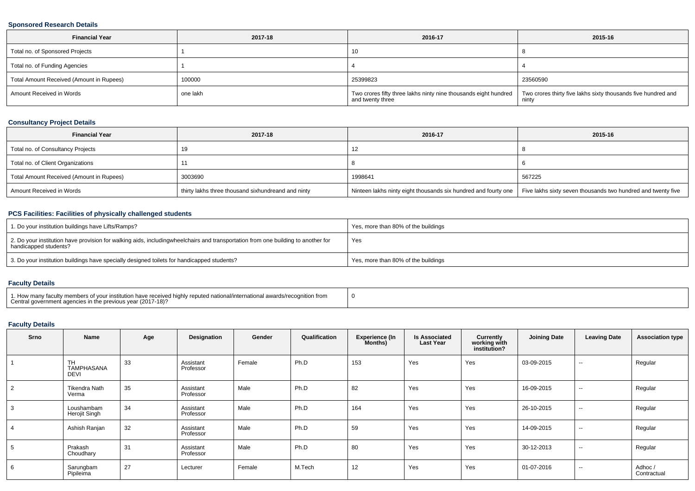### **Sponsored Research Details**

| <b>Financial Year</b>                    | 2017-18  | 2016-17                                                                             | 2015-16                                                                |
|------------------------------------------|----------|-------------------------------------------------------------------------------------|------------------------------------------------------------------------|
| Total no. of Sponsored Projects          |          | 10                                                                                  |                                                                        |
| Total no. of Funding Agencies            |          |                                                                                     |                                                                        |
| Total Amount Received (Amount in Rupees) | 100000   | 25399823                                                                            | 23560590                                                               |
| Amount Received in Words                 | one lakh | Two crores fifty three lakhs ninty nine thousands eight hundred<br>and twenty three | Two crores thirty five lakhs sixty thousands five hundred and<br>ninty |

## **Consultancy Project Details**

| <b>Financial Year</b>                    | 2017-18                                            | 2016-17                                                        | 2015-16                                                      |
|------------------------------------------|----------------------------------------------------|----------------------------------------------------------------|--------------------------------------------------------------|
| Total no. of Consultancy Projects        | 19                                                 | 12                                                             |                                                              |
| Total no. of Client Organizations        |                                                    |                                                                |                                                              |
| Total Amount Received (Amount in Rupees) | 3003690                                            | 1998641                                                        | 567225                                                       |
| Amount Received in Words                 | thirty lakhs three thousand sixhundreand and ninty | Ninteen lakhs ninty eight thousands six hundred and fourty one | Five lakhs sixty seven thousands two hundred and twenty five |

## **PCS Facilities: Facilities of physically challenged students**

| 1. Do your institution buildings have Lifts/Ramps?                                                                                                        | Yes, more than 80% of the buildings |
|-----------------------------------------------------------------------------------------------------------------------------------------------------------|-------------------------------------|
| 2. Do your institution have provision for walking aids, includingwheelchairs and transportation from one building to another for<br>handicapped students? | Yes                                 |
| 3. Do your institution buildings have specially designed toilets for handicapped students?                                                                | Yes, more than 80% of the buildings |

### **Faculty Details**

| 1. How many faculty members of your institution have received highly reputed national/international awards/recognition from<br>Central government agencies in the previous year (2017-18)? |  |
|--------------------------------------------------------------------------------------------------------------------------------------------------------------------------------------------|--|
|--------------------------------------------------------------------------------------------------------------------------------------------------------------------------------------------|--|

### **Faculty Details**

| <b>Srno</b> | Name                                   | Age | Designation            | Gender | Qualification | <b>Experience (In</b><br>Months) | <b>Is Associated</b><br><b>Last Year</b> | Currently<br>working with<br>institution? | <b>Joining Date</b> | <b>Leaving Date</b> | <b>Association type</b> |
|-------------|----------------------------------------|-----|------------------------|--------|---------------|----------------------------------|------------------------------------------|-------------------------------------------|---------------------|---------------------|-------------------------|
|             | <b>TH</b><br>TAMPHASANA<br><b>DEVI</b> | 33  | Assistant<br>Professor | Female | Ph.D          | 153                              | Yes                                      | Yes                                       | 03-09-2015          | $\sim$              | Regular                 |
| 2           | Tikendra Nath<br>Verma                 | 35  | Assistant<br>Professor | Male   | Ph.D          | 82                               | Yes                                      | Yes                                       | 16-09-2015          | $\sim$              | Regular                 |
| 3           | Loushambam<br>Herojit Singh            | 34  | Assistant<br>Professor | Male   | Ph.D          | 164                              | Yes                                      | Yes                                       | 26-10-2015          | $\sim$              | Regular                 |
|             | Ashish Ranjan                          | 32  | Assistant<br>Professor | Male   | Ph.D          | 59                               | Yes                                      | Yes                                       | 14-09-2015          | $\sim$              | Regular                 |
| 5           | Prakash<br>Choudhary                   | 31  | Assistant<br>Professor | Male   | Ph.D          | 80                               | Yes                                      | Yes                                       | 30-12-2013          | $\sim$              | Regular                 |
| 6           | Sarungbam<br>Pipileima                 | 27  | Lecturer               | Female | M.Tech        | 12                               | Yes                                      | Yes                                       | 01-07-2016          | $\sim$              | Adhoc/<br>Contractual   |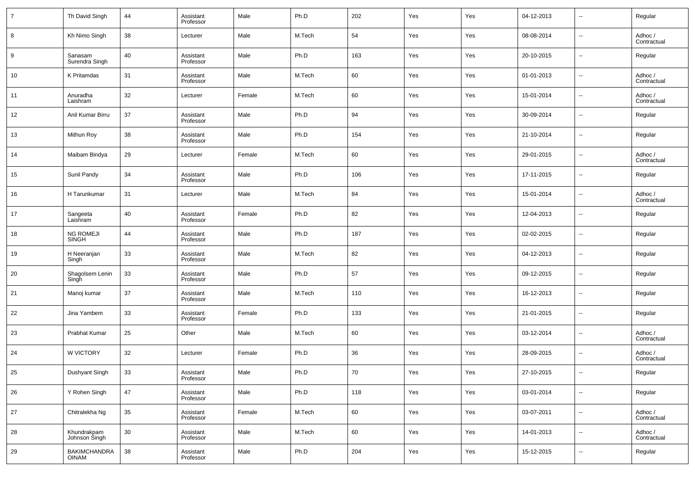| $\overline{7}$ | Th David Singh                      | 44     | Assistant<br>Professor | Male   | Ph.D   | 202 | Yes | Yes | 04-12-2013 | $\overline{\phantom{a}}$ | Regular                |
|----------------|-------------------------------------|--------|------------------------|--------|--------|-----|-----|-----|------------|--------------------------|------------------------|
| 8              | Kh Nimo Singh                       | 38     | Lecturer               | Male   | M.Tech | 54  | Yes | Yes | 08-08-2014 | $\overline{\phantom{a}}$ | Adhoc /<br>Contractual |
| 9              | Sanasam<br>Surendra Singh           | 40     | Assistant<br>Professor | Male   | Ph.D   | 163 | Yes | Yes | 20-10-2015 | $\overline{\phantom{a}}$ | Regular                |
| 10             | K Pritamdas                         | 31     | Assistant<br>Professor | Male   | M.Tech | 60  | Yes | Yes | 01-01-2013 | $\overline{\phantom{a}}$ | Adhoc /<br>Contractual |
| 11             | Anuradha<br>Laishram                | 32     | Lecturer               | Female | M.Tech | 60  | Yes | Yes | 15-01-2014 | $\overline{\phantom{a}}$ | Adhoc /<br>Contractual |
| 12             | Anil Kumar Birru                    | 37     | Assistant<br>Professor | Male   | Ph.D   | 94  | Yes | Yes | 30-09-2014 | $\overline{\phantom{a}}$ | Regular                |
| 13             | Mithun Roy                          | 38     | Assistant<br>Professor | Male   | Ph.D   | 154 | Yes | Yes | 21-10-2014 | $\overline{\phantom{a}}$ | Regular                |
| 14             | Maibam Bindya                       | 29     | Lecturer               | Female | M.Tech | 60  | Yes | Yes | 29-01-2015 | $\overline{\phantom{a}}$ | Adhoc /<br>Contractual |
| 15             | Sunil Pandy                         | 34     | Assistant<br>Professor | Male   | Ph.D   | 106 | Yes | Yes | 17-11-2015 | $\overline{\phantom{a}}$ | Regular                |
| 16             | H Tarunkumar                        | 31     | Lecturer               | Male   | M.Tech | 84  | Yes | Yes | 15-01-2014 | $\overline{\phantom{a}}$ | Adhoc /<br>Contractual |
| 17             | Sangeeta<br>Laishram                | 40     | Assistant<br>Professor | Female | Ph.D   | 82  | Yes | Yes | 12-04-2013 | $\overline{\phantom{a}}$ | Regular                |
| 18             | <b>NG ROMEJI</b><br><b>SINGH</b>    | 44     | Assistant<br>Professor | Male   | Ph.D   | 187 | Yes | Yes | 02-02-2015 | $\overline{\phantom{a}}$ | Regular                |
| 19             | H Neeranjan<br>Singh                | 33     | Assistant<br>Professor | Male   | M.Tech | 82  | Yes | Yes | 04-12-2013 | $\overline{\phantom{a}}$ | Regular                |
| 20             | Shagolsem Lenin<br>Singh            | 33     | Assistant<br>Professor | Male   | Ph.D   | 57  | Yes | Yes | 09-12-2015 | $\overline{\phantom{a}}$ | Regular                |
| 21             | Manoj kumar                         | 37     | Assistant<br>Professor | Male   | M.Tech | 110 | Yes | Yes | 16-12-2013 | $\overline{\phantom{a}}$ | Regular                |
| 22             | Jina Yambem                         | 33     | Assistant<br>Professor | Female | Ph.D   | 133 | Yes | Yes | 21-01-2015 | $\overline{\phantom{a}}$ | Regular                |
| 23             | Prabhat Kumar                       | 25     | Other                  | Male   | M.Tech | 60  | Yes | Yes | 03-12-2014 | $\overline{\phantom{a}}$ | Adhoc /<br>Contractual |
| 24             | W VICTORY                           | 32     | Lecturer               | Female | Ph.D   | 36  | Yes | Yes | 28-09-2015 | $\overline{\phantom{a}}$ | Adhoc /<br>Contractual |
| 25             | Dushyant Singh                      | 33     | Assistant<br>Professor | Male   | Ph.D   | 70  | Yes | Yes | 27-10-2015 | $\overline{\phantom{a}}$ | Regular                |
| 26             | Y Rohen Singh                       | 47     | Assistant<br>Professor | Male   | Ph.D   | 118 | Yes | Yes | 03-01-2014 | $\sim$                   | Regular                |
| 27             | Chitralekha Ng                      | 35     | Assistant<br>Professor | Female | M.Tech | 60  | Yes | Yes | 03-07-2011 | $\overline{\phantom{a}}$ | Adhoc /<br>Contractual |
| 28             | Khundrakpam<br>Johnson Singh        | $30\,$ | Assistant<br>Professor | Male   | M.Tech | 60  | Yes | Yes | 14-01-2013 | $\overline{\phantom{a}}$ | Adhoc /<br>Contractual |
| 29             | <b>BAKIMCHANDRA</b><br><b>OINAM</b> | 38     | Assistant<br>Professor | Male   | Ph.D   | 204 | Yes | Yes | 15-12-2015 | $\overline{\phantom{a}}$ | Regular                |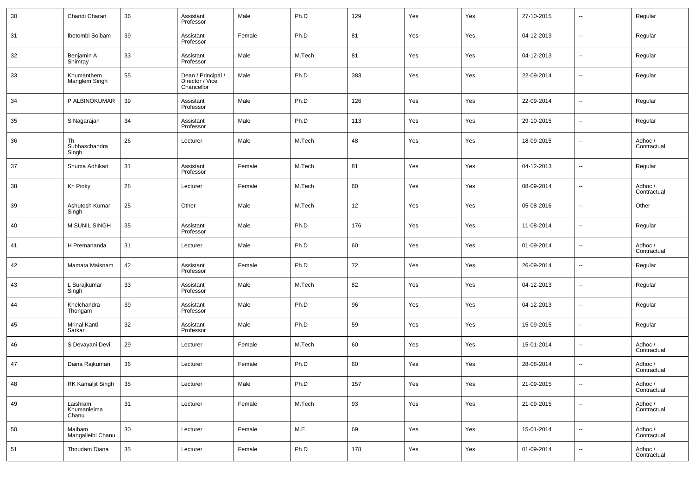| 30 | Chandi Charan                    | 36     | Assistant<br>Professor                              | Male   | Ph.D   | 129 | Yes | Yes | 27-10-2015 | $\overline{\phantom{a}}$ | Regular                |
|----|----------------------------------|--------|-----------------------------------------------------|--------|--------|-----|-----|-----|------------|--------------------------|------------------------|
| 31 | Ibetombi Soibam                  | 39     | Assistant<br>Professor                              | Female | Ph.D   | 81  | Yes | Yes | 04-12-2013 | $\overline{\phantom{a}}$ | Regular                |
| 32 | Benjamin A<br>Shimray            | 33     | Assistant<br>Professor                              | Male   | M.Tech | 81  | Yes | Yes | 04-12-2013 | $\overline{\phantom{a}}$ | Regular                |
| 33 | Khumanthem<br>Manglem Singh      | 55     | Dean / Principal /<br>Director / Vice<br>Chancellor | Male   | Ph.D   | 383 | Yes | Yes | 22-09-2014 | $\overline{\phantom{a}}$ | Regular                |
| 34 | P ALBINOKUMAR                    | 39     | Assistant<br>Professor                              | Male   | Ph.D   | 126 | Yes | Yes | 22-09-2014 | $\overline{\phantom{a}}$ | Regular                |
| 35 | S Nagarajan                      | 34     | Assistant<br>Professor                              | Male   | Ph.D   | 113 | Yes | Yes | 29-10-2015 | $\overline{\phantom{a}}$ | Regular                |
| 36 | Th<br>Subhaschandra<br>Singh     | 26     | Lecturer                                            | Male   | M.Tech | 48  | Yes | Yes | 18-09-2015 | $\overline{\phantom{a}}$ | Adhoc /<br>Contractual |
| 37 | Shuma Adhikari                   | 31     | Assistant<br>Professor                              | Female | M.Tech | 81  | Yes | Yes | 04-12-2013 | $\overline{\phantom{a}}$ | Regular                |
| 38 | Kh Pinky                         | 28     | Lecturer                                            | Female | M.Tech | 60  | Yes | Yes | 08-09-2014 | $\overline{\phantom{a}}$ | Adhoc /<br>Contractual |
| 39 | Ashutosh Kumar<br>Singh          | 25     | Other                                               | Male   | M.Tech | 12  | Yes | Yes | 05-08-2016 | $\overline{\phantom{a}}$ | Other                  |
| 40 | <b>M SUNIL SINGH</b>             | 35     | Assistant<br>Professor                              | Male   | Ph.D   | 176 | Yes | Yes | 11-08-2014 | $\overline{\phantom{a}}$ | Regular                |
| 41 | H Premananda                     | 31     | Lecturer                                            | Male   | Ph.D   | 60  | Yes | Yes | 01-09-2014 | $\overline{\phantom{a}}$ | Adhoc /<br>Contractual |
| 42 | Mamata Maisnam                   | 42     | Assistant<br>Professor                              | Female | Ph.D   | 72  | Yes | Yes | 26-09-2014 | $\overline{\phantom{a}}$ | Regular                |
| 43 | L Surajkumar<br>Singh            | 33     | Assistant<br>Professor                              | Male   | M.Tech | 82  | Yes | Yes | 04-12-2013 | $\overline{\phantom{a}}$ | Regular                |
| 44 | Khelchandra<br>Thongam           | 39     | Assistant<br>Professor                              | Male   | Ph.D   | 96  | Yes | Yes | 04-12-2013 | $\overline{\phantom{a}}$ | Regular                |
| 45 | <b>Mrinal Kanti</b><br>Sarkar    | 32     | Assistant<br>Professor                              | Male   | Ph.D   | 59  | Yes | Yes | 15-09-2015 | $\overline{\phantom{a}}$ | Regular                |
| 46 | S Devayani Devi                  | 29     | Lecturer                                            | Female | M.Tech | 60  | Yes | Yes | 15-01-2014 | $\overline{\phantom{a}}$ | Adhoc /<br>Contractual |
| 47 | Daina Rajkumari                  | 36     | Lecturer                                            | Female | Ph.D   | 60  | Yes | Yes | 28-08-2014 | $\overline{\phantom{a}}$ | Adhoc /<br>Contractual |
| 48 | RK Kamaljit Singh                | 35     | Lecturer                                            | Male   | Ph.D   | 157 | Yes | Yes | 21-09-2015 | --                       | Adhoc /<br>Contractual |
| 49 | Laishram<br>Khumanleima<br>Chanu | 31     | Lecturer                                            | Female | M.Tech | 93  | Yes | Yes | 21-09-2015 | ۰.                       | Adhoc /<br>Contractual |
| 50 | Maibam<br>Mangalleibi Chanu      | $30\,$ | Lecturer                                            | Female | M.E.   | 69  | Yes | Yes | 15-01-2014 | $\sim$                   | Adhoc /<br>Contractual |
| 51 | Thoudam Diana                    | 35     | Lecturer                                            | Female | Ph.D   | 178 | Yes | Yes | 01-09-2014 | $\overline{\phantom{a}}$ | Adhoc /<br>Contractual |